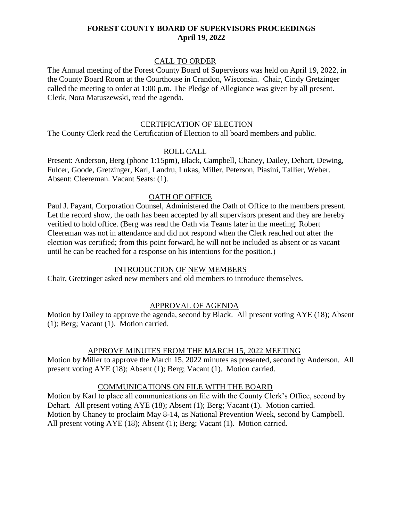## CALL TO ORDER

The Annual meeting of the Forest County Board of Supervisors was held on April 19, 2022, in the County Board Room at the Courthouse in Crandon, Wisconsin. Chair, Cindy Gretzinger called the meeting to order at 1:00 p.m. The Pledge of Allegiance was given by all present. Clerk, Nora Matuszewski, read the agenda.

#### CERTIFICATION OF ELECTION

The County Clerk read the Certification of Election to all board members and public.

#### ROLL CALL

Present: Anderson, Berg (phone 1:15pm), Black, Campbell, Chaney, Dailey, Dehart, Dewing, Fulcer, Goode, Gretzinger, Karl, Landru, Lukas, Miller, Peterson, Piasini, Tallier, Weber. Absent: Cleereman. Vacant Seats: (1).

## OATH OF OFFICE

Paul J. Payant, Corporation Counsel, Administered the Oath of Office to the members present. Let the record show, the oath has been accepted by all supervisors present and they are hereby verified to hold office. (Berg was read the Oath via Teams later in the meeting. Robert Cleereman was not in attendance and did not respond when the Clerk reached out after the election was certified; from this point forward, he will not be included as absent or as vacant until he can be reached for a response on his intentions for the position.)

## INTRODUCTION OF NEW MEMBERS

Chair, Gretzinger asked new members and old members to introduce themselves.

## APPROVAL OF AGENDA

Motion by Dailey to approve the agenda, second by Black. All present voting AYE (18); Absent (1); Berg; Vacant (1). Motion carried.

## APPROVE MINUTES FROM THE MARCH 15, 2022 MEETING

Motion by Miller to approve the March 15, 2022 minutes as presented, second by Anderson. All present voting AYE (18); Absent (1); Berg; Vacant (1). Motion carried.

## COMMUNICATIONS ON FILE WITH THE BOARD

Motion by Karl to place all communications on file with the County Clerk's Office, second by Dehart. All present voting AYE (18); Absent (1); Berg; Vacant (1). Motion carried. Motion by Chaney to proclaim May 8-14, as National Prevention Week, second by Campbell. All present voting AYE (18); Absent (1); Berg; Vacant (1). Motion carried.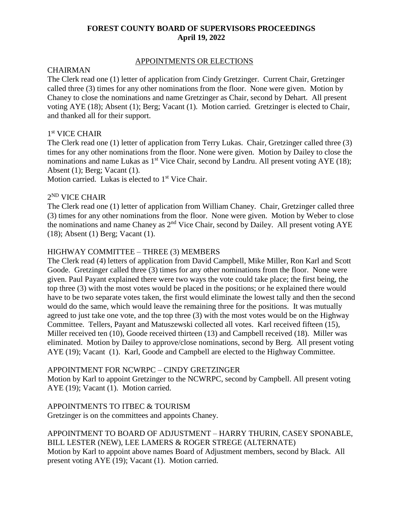# APPOINTMENTS OR ELECTIONS

# CHAIRMAN

The Clerk read one (1) letter of application from Cindy Gretzinger. Current Chair, Gretzinger called three (3) times for any other nominations from the floor. None were given. Motion by Chaney to close the nominations and name Gretzinger as Chair, second by Dehart. All present voting AYE (18); Absent (1); Berg; Vacant (1). Motion carried. Gretzinger is elected to Chair, and thanked all for their support.

# 1 st VICE CHAIR

The Clerk read one (1) letter of application from Terry Lukas. Chair, Gretzinger called three (3) times for any other nominations from the floor. None were given. Motion by Dailey to close the nominations and name Lukas as  $1<sup>st</sup>$  Vice Chair, second by Landru. All present voting AYE (18); Absent (1); Berg; Vacant (1).

Motion carried. Lukas is elected to  $1<sup>st</sup>$  Vice Chair.

# 2 ND VICE CHAIR

The Clerk read one (1) letter of application from William Chaney. Chair, Gretzinger called three (3) times for any other nominations from the floor. None were given. Motion by Weber to close the nominations and name Chaney as 2nd Vice Chair, second by Dailey. All present voting AYE (18); Absent (1) Berg; Vacant (1).

## HIGHWAY COMMITTEE – THREE (3) MEMBERS

The Clerk read (4) letters of application from David Campbell, Mike Miller, Ron Karl and Scott Goode. Gretzinger called three (3) times for any other nominations from the floor. None were given. Paul Payant explained there were two ways the vote could take place; the first being, the top three (3) with the most votes would be placed in the positions; or he explained there would have to be two separate votes taken, the first would eliminate the lowest tally and then the second would do the same, which would leave the remaining three for the positions. It was mutually agreed to just take one vote, and the top three (3) with the most votes would be on the Highway Committee. Tellers, Payant and Matuszewski collected all votes. Karl received fifteen (15), Miller received ten (10), Goode received thirteen (13) and Campbell received (18). Miller was eliminated. Motion by Dailey to approve/close nominations, second by Berg. All present voting AYE (19); Vacant (1). Karl, Goode and Campbell are elected to the Highway Committee.

## APPOINTMENT FOR NCWRPC – CINDY GRETZINGER

Motion by Karl to appoint Gretzinger to the NCWRPC, second by Campbell. All present voting AYE (19); Vacant (1). Motion carried.

APPOINTMENTS TO ITBEC & TOURISM Gretzinger is on the committees and appoints Chaney.

#### APPOINTMENT TO BOARD OF ADJUSTMENT – HARRY THURIN, CASEY SPONABLE, BILL LESTER (NEW), LEE LAMERS & ROGER STREGE (ALTERNATE) Motion by Karl to appoint above names Board of Adjustment members, second by Black. All present voting AYE (19); Vacant (1). Motion carried.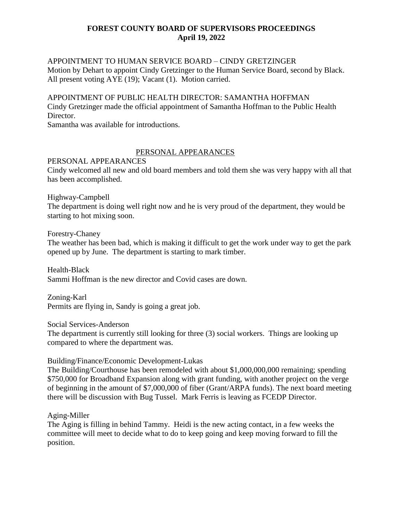# APPOINTMENT TO HUMAN SERVICE BOARD – CINDY GRETZINGER Motion by Dehart to appoint Cindy Gretzinger to the Human Service Board, second by Black. All present voting AYE (19); Vacant (1). Motion carried.

# APPOINTMENT OF PUBLIC HEALTH DIRECTOR: SAMANTHA HOFFMAN Cindy Gretzinger made the official appointment of Samantha Hoffman to the Public Health Director.

Samantha was available for introductions.

# PERSONAL APPEARANCES

PERSONAL APPEARANCES

Cindy welcomed all new and old board members and told them she was very happy with all that has been accomplished.

Highway-Campbell

The department is doing well right now and he is very proud of the department, they would be starting to hot mixing soon.

Forestry-Chaney

The weather has been bad, which is making it difficult to get the work under way to get the park opened up by June. The department is starting to mark timber.

Health-Black Sammi Hoffman is the new director and Covid cases are down.

Zoning-Karl Permits are flying in, Sandy is going a great job.

Social Services-Anderson

The department is currently still looking for three (3) social workers. Things are looking up compared to where the department was.

# Building/Finance/Economic Development-Lukas

The Building/Courthouse has been remodeled with about \$1,000,000,000 remaining; spending \$750,000 for Broadband Expansion along with grant funding, with another project on the verge of beginning in the amount of \$7,000,000 of fiber (Grant/ARPA funds). The next board meeting there will be discussion with Bug Tussel. Mark Ferris is leaving as FCEDP Director.

Aging-Miller

The Aging is filling in behind Tammy. Heidi is the new acting contact, in a few weeks the committee will meet to decide what to do to keep going and keep moving forward to fill the position.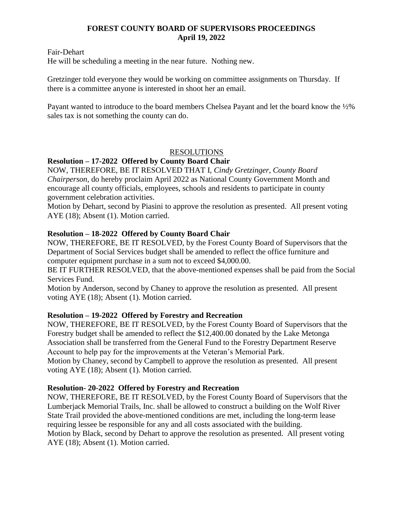Fair-Dehart

He will be scheduling a meeting in the near future. Nothing new.

Gretzinger told everyone they would be working on committee assignments on Thursday. If there is a committee anyone is interested in shoot her an email.

Payant wanted to introduce to the board members Chelsea Payant and let the board know the ½% sales tax is not something the county can do.

# RESOLUTIONS

# **Resolution – 17-2022 Offered by County Board Chair**

NOW, THEREFORE, BE IT RESOLVED THAT I, *Cindy Gretzinger, County Board Chairperson*, do hereby proclaim April 2022 as National County Government Month and encourage all county officials, employees, schools and residents to participate in county government celebration activities.

Motion by Dehart, second by Piasini to approve the resolution as presented. All present voting AYE (18); Absent (1). Motion carried.

# **Resolution – 18-2022 Offered by County Board Chair**

NOW, THEREFORE, BE IT RESOLVED, by the Forest County Board of Supervisors that the Department of Social Services budget shall be amended to reflect the office furniture and computer equipment purchase in a sum not to exceed \$4,000.00.

BE IT FURTHER RESOLVED, that the above-mentioned expenses shall be paid from the Social Services Fund.

Motion by Anderson, second by Chaney to approve the resolution as presented. All present voting AYE (18); Absent (1). Motion carried.

## **Resolution – 19-2022 Offered by Forestry and Recreation**

NOW, THEREFORE, BE IT RESOLVED, by the Forest County Board of Supervisors that the Forestry budget shall be amended to reflect the \$12,400.00 donated by the Lake Metonga Association shall be transferred from the General Fund to the Forestry Department Reserve Account to help pay for the improvements at the Veteran's Memorial Park. Motion by Chaney, second by Campbell to approve the resolution as presented. All present voting AYE (18); Absent (1). Motion carried.

# **Resolution- 20-2022 Offered by Forestry and Recreation**

NOW, THEREFORE, BE IT RESOLVED, by the Forest County Board of Supervisors that the Lumberjack Memorial Trails, Inc. shall be allowed to construct a building on the Wolf River State Trail provided the above-mentioned conditions are met, including the long-term lease requiring lessee be responsible for any and all costs associated with the building. Motion by Black, second by Dehart to approve the resolution as presented. All present voting AYE (18); Absent (1). Motion carried.